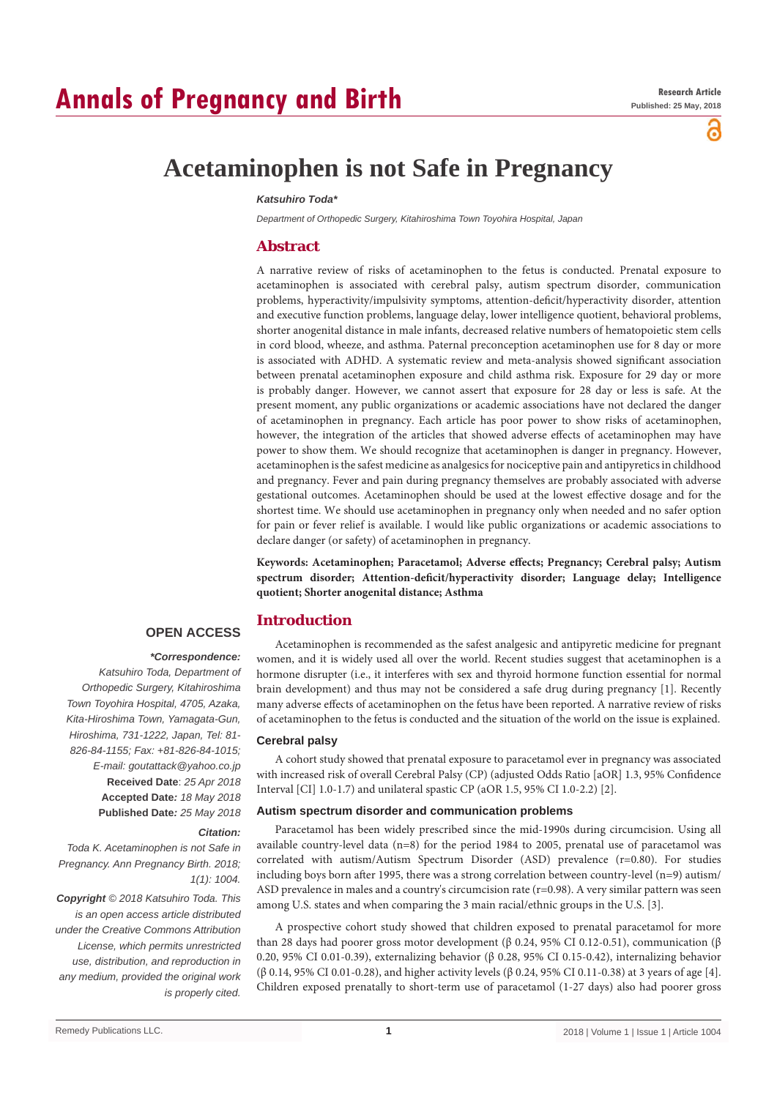# **Annals of Pregnancy and Birth**

്

## **Acetaminophen is not Safe in Pregnancy**

#### *Katsuhiro Toda\**

*Department of Orthopedic Surgery, Kitahiroshima Town Toyohira Hospital, Japan*

## **Abstract**

A narrative review of risks of acetaminophen to the fetus is conducted. Prenatal exposure to acetaminophen is associated with cerebral palsy, autism spectrum disorder, communication problems, hyperactivity/impulsivity symptoms, attention-deficit/hyperactivity disorder, attention and executive function problems, language delay, lower intelligence quotient, behavioral problems, shorter anogenital distance in male infants, decreased relative numbers of hematopoietic stem cells in cord blood, wheeze, and asthma. Paternal preconception acetaminophen use for 8 day or more is associated with ADHD. A systematic review and meta-analysis showed significant association between prenatal acetaminophen exposure and child asthma risk. Exposure for 29 day or more is probably danger. However, we cannot assert that exposure for 28 day or less is safe. At the present moment, any public organizations or academic associations have not declared the danger of acetaminophen in pregnancy. Each article has poor power to show risks of acetaminophen, however, the integration of the articles that showed adverse effects of acetaminophen may have power to show them. We should recognize that acetaminophen is danger in pregnancy. However, acetaminophen is the safest medicine as analgesics for nociceptive pain and antipyretics in childhood and pregnancy. Fever and pain during pregnancy themselves are probably associated with adverse gestational outcomes. Acetaminophen should be used at the lowest effective dosage and for the shortest time. We should use acetaminophen in pregnancy only when needed and no safer option for pain or fever relief is available. I would like public organizations or academic associations to declare danger (or safety) of acetaminophen in pregnancy.

**Keywords: Acetaminophen; Paracetamol; Adverse effects; Pregnancy; Cerebral palsy; Autism spectrum disorder; Attention-deficit/hyperactivity disorder; Language delay; Intelligence quotient; Shorter anogenital distance; Asthma**

### **Introduction**

## **OPEN ACCESS**

#### *\*Correspondence:*

*Katsuhiro Toda, Department of Orthopedic Surgery, Kitahiroshima Town Toyohira Hospital, 4705, Azaka, Kita-Hiroshima Town, Yamagata-Gun, Hiroshima, 731-1222, Japan, Tel: 81- 826-84-1155; Fax: +81-826-84-1015; E-mail: goutattack@yahoo.co.jp* **Received Date**: *25 Apr 2018* **Accepted Date***: 18 May 2018* **Published Date***: 25 May 2018*

#### *Citation:*

*Toda K. Acetaminophen is not Safe in Pregnancy. Ann Pregnancy Birth. 2018; 1(1): 1004.*

*Copyright © 2018 Katsuhiro Toda. This is an open access article distributed under the Creative Commons Attribution License, which permits unrestricted use, distribution, and reproduction in any medium, provided the original work is properly cited.*

Acetaminophen is recommended as the safest analgesic and antipyretic medicine for pregnant women, and it is widely used all over the world. Recent studies suggest that acetaminophen is a hormone disrupter (i.e., it interferes with sex and thyroid hormone function essential for normal brain development) and thus may not be considered a safe drug during pregnancy [1]. Recently many adverse effects of acetaminophen on the fetus have been reported. A narrative review of risks of acetaminophen to the fetus is conducted and the situation of the world on the issue is explained.

#### **Cerebral palsy**

A cohort study showed that prenatal exposure to paracetamol ever in pregnancy was associated with increased risk of overall Cerebral Palsy (CP) (adjusted Odds Ratio [aOR] 1.3, 95% Confidence Interval [CI] 1.0-1.7) and unilateral spastic CP (aOR 1.5, 95% CI 1.0-2.2) [2].

#### **Autism spectrum disorder and communication problems**

Paracetamol has been widely prescribed since the mid-1990s during circumcision. Using all available country-level data (n=8) for the period 1984 to 2005, prenatal use of paracetamol was correlated with autism/Autism Spectrum Disorder (ASD) prevalence (r=0.80). For studies including boys born after 1995, there was a strong correlation between country-level (n=9) autism/ ASD prevalence in males and a country's circumcision rate (r=0.98). A very similar pattern was seen among U.S. states and when comparing the 3 main racial/ethnic groups in the U.S. [3].

A prospective cohort study showed that children exposed to prenatal paracetamol for more than 28 days had poorer gross motor development (β 0.24, 95% CI 0.12-0.51), communication (β 0.20, 95% CI 0.01-0.39), externalizing behavior (β 0.28, 95% CI 0.15-0.42), internalizing behavior (β 0.14, 95% CI 0.01-0.28), and higher activity levels (β 0.24, 95% CI 0.11-0.38) at 3 years of age [4]. Children exposed prenatally to short-term use of paracetamol (1-27 days) also had poorer gross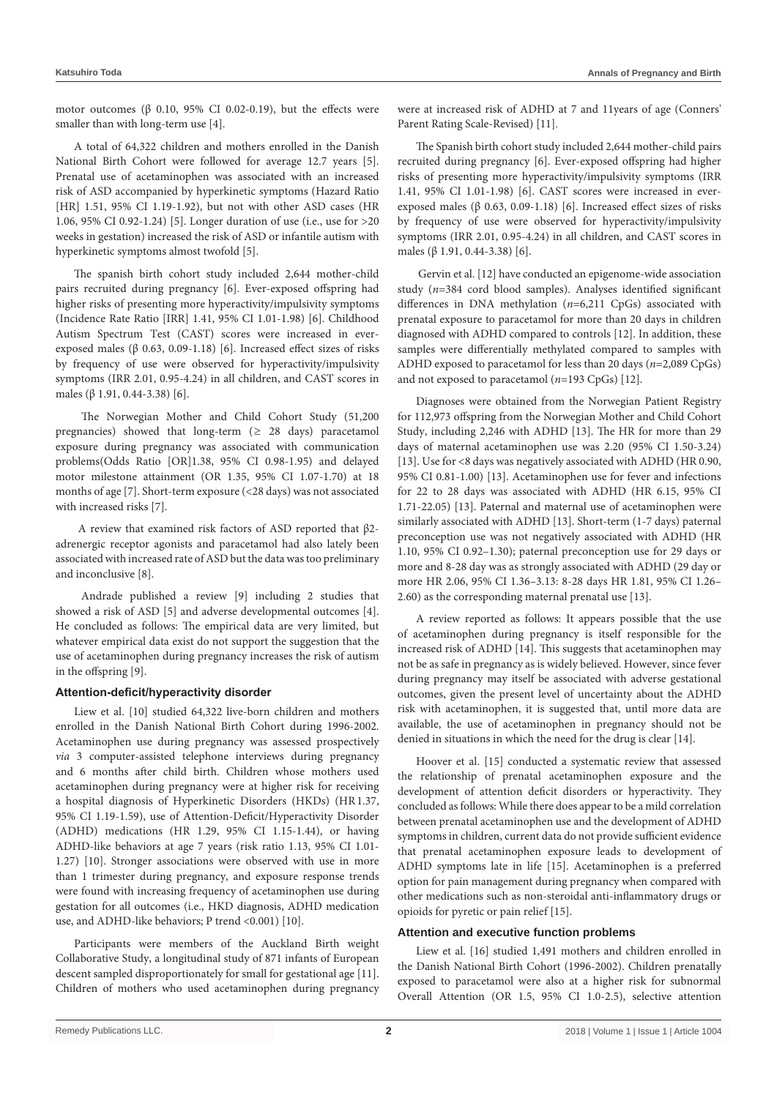motor outcomes (β 0.10, 95% CI 0.02-0.19), but the effects were smaller than with long-term use [4].

A total of 64,322 children and mothers enrolled in the Danish National Birth Cohort were followed for average 12.7 years [5]. Prenatal use of acetaminophen was associated with an increased risk of ASD accompanied by hyperkinetic symptoms (Hazard Ratio [HR] 1.51, 95% CI 1.19-1.92), but not with other ASD cases (HR 1.06, 95% CI 0.92-1.24) [5]. Longer duration of use (i.e., use for >20 weeks in gestation) increased the risk of ASD or infantile autism with hyperkinetic symptoms almost twofold [5].

The spanish birth cohort study included 2,644 mother-child pairs recruited during pregnancy [6]. Ever-exposed offspring had higher risks of presenting more hyperactivity/impulsivity symptoms (Incidence Rate Ratio [IRR] 1.41, 95% CI 1.01-1.98) [6]. Childhood Autism Spectrum Test (CAST) scores were increased in everexposed males (β 0.63, 0.09-1.18) [6]. Increased effect sizes of risks by frequency of use were observed for hyperactivity/impulsivity symptoms (IRR 2.01, 0.95-4.24) in all children, and CAST scores in males (β 1.91, 0.44-3.38) [6].

 The Norwegian Mother and Child Cohort Study (51,200 pregnancies) showed that long-term (*≥* 28 days) paracetamol exposure during pregnancy was associated with communication problems(Odds Ratio [OR]1.38, 95% CI 0.98-1.95) and delayed motor milestone attainment (OR 1.35, 95% CI 1.07-1.70) at 18 months of age [7]. Short-term exposure (<28 days) was not associated with increased risks [7].

 A review that examined risk factors of ASD reported that β2 adrenergic receptor agonists and paracetamol had also lately been associated with increased rate of ASD but the data was too preliminary and inconclusive [8].

 Andrade published a review [9] including 2 studies that showed a risk of ASD [5] and adverse developmental outcomes [4]. He concluded as follows: The empirical data are very limited, but whatever empirical data exist do not support the suggestion that the use of acetaminophen during pregnancy increases the risk of autism in the offspring [9].

#### **Attention-deficit/hyperactivity disorder**

Liew et al. [10] studied 64,322 live-born children and mothers enrolled in the Danish National Birth Cohort during 1996-2002. Acetaminophen use during pregnancy was assessed prospectively *via* 3 computer-assisted telephone interviews during pregnancy and 6 months after child birth. Children whose mothers used acetaminophen during pregnancy were at higher risk for receiving a hospital diagnosis of Hyperkinetic Disorders (HKDs) (HR1.37, 95% CI 1.19-1.59), use of Attention-Deficit/Hyperactivity Disorder (ADHD) medications (HR 1.29, 95% CI 1.15-1.44), or having ADHD-like behaviors at age 7 years (risk ratio 1.13, 95% CI 1.01- 1.27) [10]. Stronger associations were observed with use in more than 1 trimester during pregnancy, and exposure response trends were found with increasing frequency of acetaminophen use during gestation for all outcomes (i.e., HKD diagnosis, ADHD medication use, and ADHD-like behaviors; P trend <0.001) [10].

Participants were members of the Auckland Birth weight Collaborative Study, a longitudinal study of 871 infants of European descent sampled disproportionately for small for gestational age [11]. Children of mothers who used acetaminophen during pregnancy were at increased risk of ADHD at 7 and 11years of age (Conners' Parent Rating Scale-Revised) [11].

The Spanish birth cohort study included 2,644 mother-child pairs recruited during pregnancy [6]. Ever-exposed offspring had higher risks of presenting more hyperactivity/impulsivity symptoms (IRR 1.41, 95% CI 1.01-1.98) [6]. CAST scores were increased in everexposed males (β 0.63, 0.09-1.18) [6]. Increased effect sizes of risks by frequency of use were observed for hyperactivity/impulsivity symptoms (IRR 2.01, 0.95-4.24) in all children, and CAST scores in males (β 1.91, 0.44-3.38) [6].

 Gervin et al. [12] have conducted an epigenome-wide association study (*n*=384 cord blood samples). Analyses identified significant differences in DNA methylation (*n*=6,211 CpGs) associated with prenatal exposure to paracetamol for more than 20 days in children diagnosed with ADHD compared to controls [12]. In addition, these samples were differentially methylated compared to samples with ADHD exposed to paracetamol for less than 20 days (*n*=2,089 CpGs) and not exposed to paracetamol (*n*=193 CpGs) [12].

Diagnoses were obtained from the Norwegian Patient Registry for 112,973 offspring from the Norwegian Mother and Child Cohort Study, including 2,246 with ADHD [13]. The HR for more than 29 days of maternal acetaminophen use was 2.20 (95% CI 1.50-3.24) [13]. Use for <8 days was negatively associated with ADHD (HR 0.90, 95% CI 0.81-1.00) [13]. Acetaminophen use for fever and infections for 22 to 28 days was associated with ADHD (HR 6.15, 95% CI 1.71-22.05) [13]. Paternal and maternal use of acetaminophen were similarly associated with ADHD [13]. Short-term (1-7 days) paternal preconception use was not negatively associated with ADHD (HR 1.10, 95% CI 0.92–1.30); paternal preconception use for 29 days or more and 8-28 day was as strongly associated with ADHD (29 day or more HR 2.06, 95% CI 1.36–3.13: 8-28 days HR 1.81, 95% CI 1.26– 2.60) as the corresponding maternal prenatal use [13].

A review reported as follows: It appears possible that the use of acetaminophen during pregnancy is itself responsible for the increased risk of ADHD [14]. This suggests that acetaminophen may not be as safe in pregnancy as is widely believed. However, since fever during pregnancy may itself be associated with adverse gestational outcomes, given the present level of uncertainty about the ADHD risk with acetaminophen, it is suggested that, until more data are available, the use of acetaminophen in pregnancy should not be denied in situations in which the need for the drug is clear [14].

Hoover et al. [15] conducted a systematic review that assessed the relationship of prenatal acetaminophen exposure and the development of attention deficit disorders or hyperactivity. They concluded as follows: While there does appear to be a mild correlation between prenatal acetaminophen use and the development of ADHD symptoms in children, current data do not provide sufficient evidence that prenatal acetaminophen exposure leads to development of ADHD symptoms late in life [15]. Acetaminophen is a preferred option for pain management during pregnancy when compared with other medications such as non-steroidal anti-inflammatory drugs or opioids for pyretic or pain relief [15].

#### **Attention and executive function problems**

Liew et al. [16] studied 1,491 mothers and children enrolled in the Danish National Birth Cohort (1996-2002). Children prenatally exposed to paracetamol were also at a higher risk for subnormal Overall Attention (OR 1.5, 95% CI 1.0-2.5), selective attention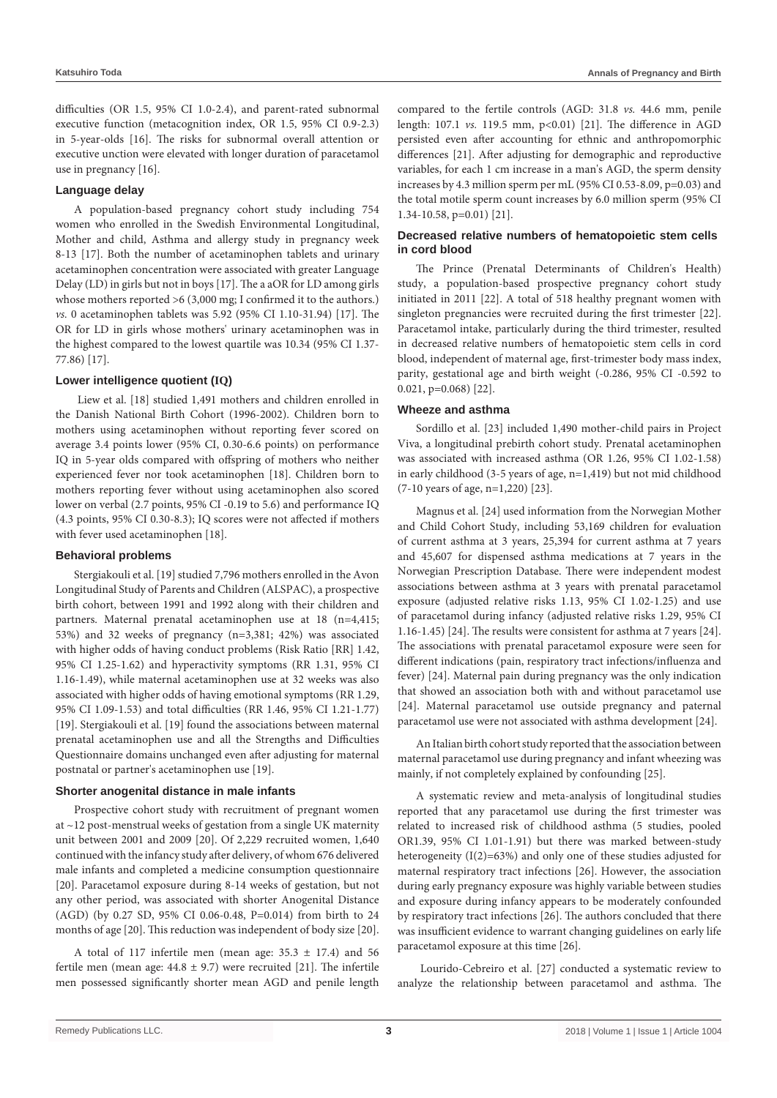difficulties (OR 1.5, 95% CI 1.0-2.4), and parent-rated subnormal executive function (metacognition index, OR 1.5, 95% CI 0.9-2.3) in 5-year-olds [16]. The risks for subnormal overall attention or executive unction were elevated with longer duration of paracetamol use in pregnancy [16].

#### **Language delay**

A population-based pregnancy cohort study including 754 women who enrolled in the Swedish Environmental Longitudinal, Mother and child, Asthma and allergy study in pregnancy week 8-13 [17]. Both the number of acetaminophen tablets and urinary acetaminophen concentration were associated with greater Language Delay (LD) in girls but not in boys [17]. The a aOR for LD among girls whose mothers reported >6 (3,000 mg; I confirmed it to the authors.) *vs.* 0 acetaminophen tablets was 5.92 (95% CI 1.10-31.94) [17]. The OR for LD in girls whose mothers' urinary acetaminophen was in the highest compared to the lowest quartile was 10.34 (95% CI 1.37- 77.86) [17].

### **Lower intelligence quotient (IQ)**

 Liew et al. [18] studied 1,491 mothers and children enrolled in the Danish National Birth Cohort (1996-2002). Children born to mothers using acetaminophen without reporting fever scored on average 3.4 points lower (95% CI, 0.30-6.6 points) on performance IQ in 5-year olds compared with offspring of mothers who neither experienced fever nor took acetaminophen [18]. Children born to mothers reporting fever without using acetaminophen also scored lower on verbal (2.7 points, 95% CI -0.19 to 5.6) and performance IQ (4.3 points, 95% CI 0.30-8.3); IQ scores were not affected if mothers with fever used acetaminophen [18].

#### **Behavioral problems**

Stergiakouli et al. [19] studied 7,796 mothers enrolled in the Avon Longitudinal Study of Parents and Children (ALSPAC), a prospective birth cohort, between 1991 and 1992 along with their children and partners. Maternal prenatal acetaminophen use at 18 (n=4,415; 53%) and 32 weeks of pregnancy (n=3,381; 42%) was associated with higher odds of having conduct problems (Risk Ratio [RR] 1.42, 95% CI 1.25-1.62) and hyperactivity symptoms (RR 1.31, 95% CI 1.16-1.49), while maternal acetaminophen use at 32 weeks was also associated with higher odds of having emotional symptoms (RR 1.29, 95% CI 1.09-1.53) and total difficulties (RR 1.46, 95% CI 1.21-1.77) [19]. Stergiakouli et al. [19] found the associations between maternal prenatal acetaminophen use and all the Strengths and Difficulties Questionnaire domains unchanged even after adjusting for maternal postnatal or partner's acetaminophen use [19].

#### **Shorter anogenital distance in male infants**

Prospective cohort study with recruitment of pregnant women at ~12 post-menstrual weeks of gestation from a single UK maternity unit between 2001 and 2009 [20]. Of 2,229 recruited women, 1,640 continued with the infancy study after delivery, of whom 676 delivered male infants and completed a medicine consumption questionnaire [20]. Paracetamol exposure during 8-14 weeks of gestation, but not any other period, was associated with shorter Anogenital Distance (AGD) (by 0.27 SD, 95% CI 0.06-0.48, P=0.014) from birth to 24 months of age [20]. This reduction was independent of body size [20].

A total of 117 infertile men (mean age:  $35.3 \pm 17.4$ ) and 56 fertile men (mean age:  $44.8 \pm 9.7$ ) were recruited [21]. The infertile men possessed significantly shorter mean AGD and penile length compared to the fertile controls (AGD: 31.8 *vs.* 44.6 mm, penile length: 107.1 *vs.* 119.5 mm, p<0.01) [21]. The difference in AGD persisted even after accounting for ethnic and anthropomorphic differences [21]. After adjusting for demographic and reproductive variables, for each 1 cm increase in a man's AGD, the sperm density increases by 4.3 million sperm per mL (95% CI 0.53-8.09, p=0.03) and the total motile sperm count increases by 6.0 million sperm (95% CI 1.34-10.58, p=0.01) [21].

## **Decreased relative numbers of hematopoietic stem cells in cord blood**

The Prince (Prenatal Determinants of Children's Health) study, a population-based prospective pregnancy cohort study initiated in 2011 [22]. A total of 518 healthy pregnant women with singleton pregnancies were recruited during the first trimester [22]. Paracetamol intake, particularly during the third trimester, resulted in decreased relative numbers of hematopoietic stem cells in cord blood, independent of maternal age, first-trimester body mass index, parity, gestational age and birth weight (-0.286, 95% CI -0.592 to 0.021, p=0.068) [22].

#### **Wheeze and asthma**

Sordillo et al. [23] included 1,490 mother-child pairs in Project Viva, a longitudinal prebirth cohort study. Prenatal acetaminophen was associated with increased asthma (OR 1.26, 95% CI 1.02-1.58) in early childhood (3-5 years of age, n=1,419) but not mid childhood (7-10 years of age, n=1,220) [23].

Magnus et al. [24] used information from the Norwegian Mother and Child Cohort Study, including 53,169 children for evaluation of current asthma at 3 years, 25,394 for current asthma at 7 years and 45,607 for dispensed asthma medications at 7 years in the Norwegian Prescription Database. There were independent modest associations between asthma at 3 years with prenatal paracetamol exposure (adjusted relative risks 1.13, 95% CI 1.02-1.25) and use of paracetamol during infancy (adjusted relative risks 1.29, 95% CI 1.16-1.45) [24]. The results were consistent for asthma at 7 years [24]. The associations with prenatal paracetamol exposure were seen for different indications (pain, respiratory tract infections/influenza and fever) [24]. Maternal pain during pregnancy was the only indication that showed an association both with and without paracetamol use [24]. Maternal paracetamol use outside pregnancy and paternal paracetamol use were not associated with asthma development [24].

An Italian birth cohort study reported that the association between maternal paracetamol use during pregnancy and infant wheezing was mainly, if not completely explained by confounding [25].

A systematic review and meta-analysis of longitudinal studies reported that any paracetamol use during the first trimester was related to increased risk of childhood asthma (5 studies, pooled OR1.39, 95% CI 1.01-1.91) but there was marked between-study heterogeneity  $(I(2)=63\%)$  and only one of these studies adjusted for maternal respiratory tract infections [26]. However, the association during early pregnancy exposure was highly variable between studies and exposure during infancy appears to be moderately confounded by respiratory tract infections [26]. The authors concluded that there was insufficient evidence to warrant changing guidelines on early life paracetamol exposure at this time [26].

 Lourido-Cebreiro et al. [27] conducted a systematic review to analyze the relationship between paracetamol and asthma. The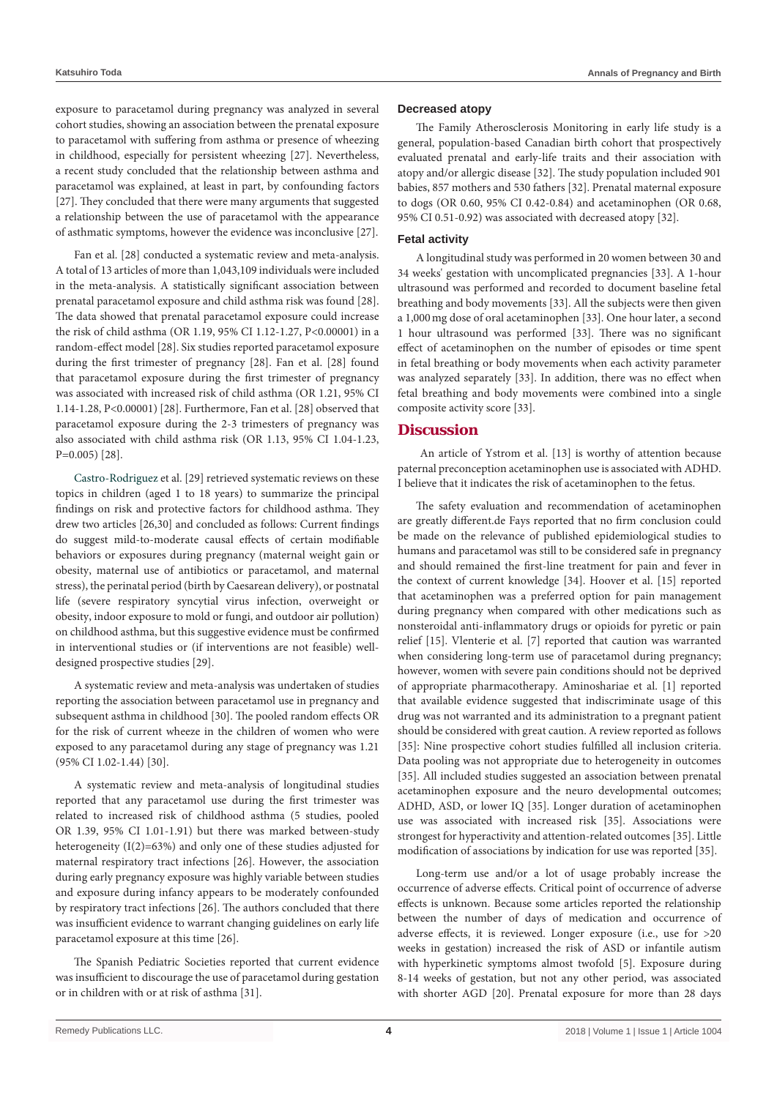exposure to paracetamol during pregnancy was analyzed in several cohort studies, showing an association between the prenatal exposure to paracetamol with suffering from asthma or presence of wheezing in childhood, especially for persistent wheezing [27]. Nevertheless, a recent study concluded that the relationship between asthma and paracetamol was explained, at least in part, by confounding factors [27]. They concluded that there were many arguments that suggested a relationship between the use of paracetamol with the appearance of asthmatic symptoms, however the evidence was inconclusive [27].

Fan et al. [28] conducted a systematic review and meta-analysis. A total of 13 articles of more than 1,043,109 individuals were included in the meta-analysis. A statistically significant association between prenatal paracetamol exposure and child asthma risk was found [28]. The data showed that prenatal paracetamol exposure could increase the risk of child asthma (OR 1.19, 95% CI 1.12-1.27, P<0.00001) in a random-effect model [28]. Six studies reported paracetamol exposure during the first trimester of pregnancy [28]. Fan et al. [28] found that paracetamol exposure during the first trimester of pregnancy was associated with increased risk of child asthma (OR 1.21, 95% CI 1.14-1.28, P<0.00001) [28]. Furthermore, Fan et al. [28] observed that paracetamol exposure during the 2-3 trimesters of pregnancy was also associated with child asthma risk (OR 1.13, 95% CI 1.04-1.23, P=0.005) [28].

[Castro-Rodriguez e](https://www.ncbi.nlm.nih.gov/pubmed/?term=Castro-Rodriguez JA%5BAuthor%5D&cauthor=true&cauthor_uid=27286779)t al. [29] retrieved systematic reviews on these topics in children (aged 1 to 18 years) to summarize the principal findings on risk and protective factors for childhood asthma. They drew two articles [26,30] and concluded as follows: Current findings do suggest mild-to-moderate causal effects of certain modifiable behaviors or exposures during pregnancy (maternal weight gain or obesity, maternal use of antibiotics or paracetamol, and maternal stress), the perinatal period (birth by Caesarean delivery), or postnatal life (severe respiratory syncytial virus infection, overweight or obesity, indoor exposure to mold or fungi, and outdoor air pollution) on childhood asthma, but this suggestive evidence must be confirmed in interventional studies or (if interventions are not feasible) welldesigned prospective studies [29].

A systematic review and meta-analysis was undertaken of studies reporting the association between paracetamol use in pregnancy and subsequent asthma in childhood [30]. The pooled random effects OR for the risk of current wheeze in the children of women who were exposed to any paracetamol during any stage of pregnancy was 1.21 (95% CI 1.02-1.44) [30].

A systematic review and meta-analysis of longitudinal studies reported that any paracetamol use during the first trimester was related to increased risk of childhood asthma (5 studies, pooled OR 1.39, 95% CI 1.01-1.91) but there was marked between-study heterogeneity (I(2)=63%) and only one of these studies adjusted for maternal respiratory tract infections [26]. However, the association during early pregnancy exposure was highly variable between studies and exposure during infancy appears to be moderately confounded by respiratory tract infections [26]. The authors concluded that there was insufficient evidence to warrant changing guidelines on early life paracetamol exposure at this time [26].

The Spanish Pediatric Societies reported that current evidence was insufficient to discourage the use of paracetamol during gestation or in children with or at risk of asthma [31].

#### **Decreased atopy**

The Family Atherosclerosis Monitoring in early life study is a general, population-based Canadian birth cohort that prospectively evaluated prenatal and early-life traits and their association with atopy and/or allergic disease [32]. The study population included 901 babies, 857 mothers and 530 fathers [32]. Prenatal maternal exposure to dogs (OR 0.60, 95% CI 0.42-0.84) and acetaminophen (OR 0.68, 95% CI 0.51-0.92) was associated with decreased atopy [32].

#### **Fetal activity**

A longitudinal study was performed in 20 women between 30 and 34 weeks' gestation with uncomplicated pregnancies [33]. A 1-hour ultrasound was performed and recorded to document baseline fetal breathing and body movements [33]. All the subjects were then given a 1,000mg dose of oral acetaminophen [33]. One hour later, a second 1 hour ultrasound was performed [33]. There was no significant effect of acetaminophen on the number of episodes or time spent in fetal breathing or body movements when each activity parameter was analyzed separately [33]. In addition, there was no effect when fetal breathing and body movements were combined into a single composite activity score [33].

#### **Discussion**

 An article of Ystrom et al. [13] is worthy of attention because paternal preconception acetaminophen use is associated with ADHD. I believe that it indicates the risk of acetaminophen to the fetus.

The safety evaluation and recommendation of acetaminophen are greatly different.de Fays reported that no firm conclusion could be made on the relevance of published epidemiological studies to humans and paracetamol was still to be considered safe in pregnancy and should remained the first-line treatment for pain and fever in the context of current knowledge [34]. Hoover et al. [15] reported that acetaminophen was a preferred option for pain management during pregnancy when compared with other medications such as nonsteroidal anti-inflammatory drugs or opioids for pyretic or pain relief [15]. Vlenterie et al. [7] reported that caution was warranted when considering long-term use of paracetamol during pregnancy; however, women with severe pain conditions should not be deprived of appropriate pharmacotherapy. Aminoshariae et al. [1] reported that available evidence suggested that indiscriminate usage of this drug was not warranted and its administration to a pregnant patient should be considered with great caution. A review reported as follows [35]: Nine prospective cohort studies fulfilled all inclusion criteria. Data pooling was not appropriate due to heterogeneity in outcomes [35]. All included studies suggested an association between prenatal acetaminophen exposure and the neuro developmental outcomes; ADHD, ASD, or lower IQ [35]. Longer duration of acetaminophen use was associated with increased risk [35]. Associations were strongest for hyperactivity and attention-related outcomes [35]. Little modification of associations by indication for use was reported [35].

Long-term use and/or a lot of usage probably increase the occurrence of adverse effects. Critical point of occurrence of adverse effects is unknown. Because some articles reported the relationship between the number of days of medication and occurrence of adverse effects, it is reviewed. Longer exposure (i.e., use for >20 weeks in gestation) increased the risk of ASD or infantile autism with hyperkinetic symptoms almost twofold [5]. Exposure during 8-14 weeks of gestation, but not any other period, was associated with shorter AGD [20]. Prenatal exposure for more than 28 days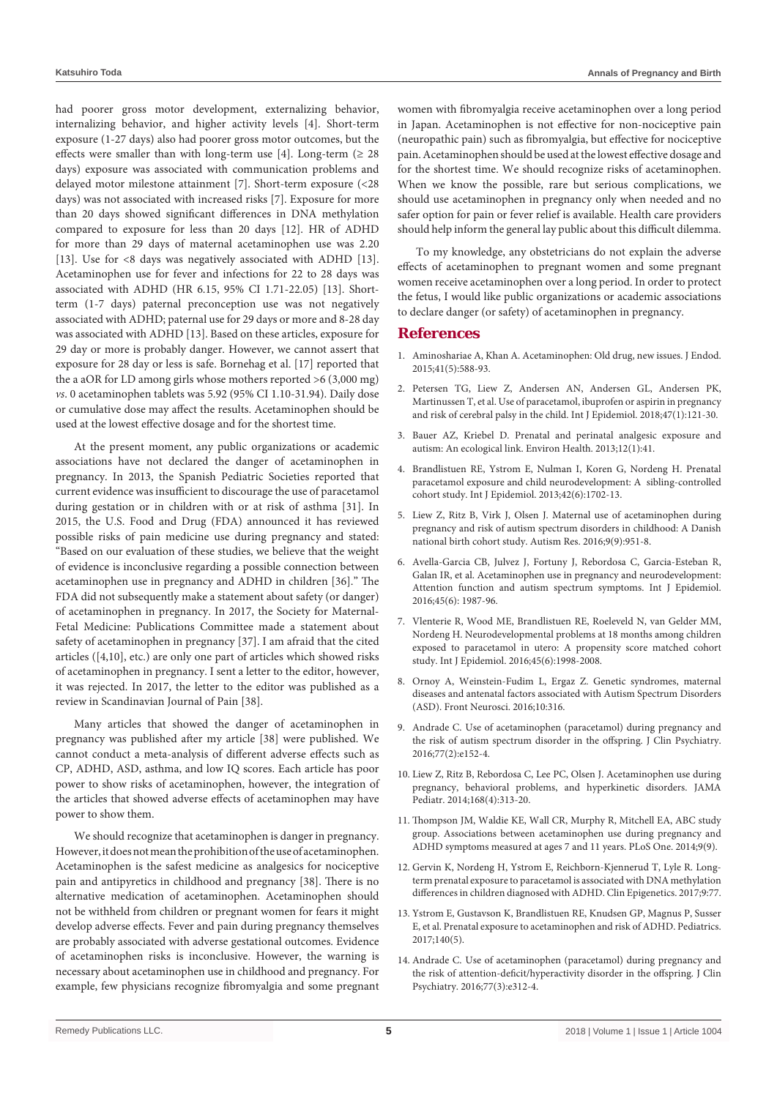had poorer gross motor development, externalizing behavior, internalizing behavior, and higher activity levels [4]. Short-term exposure (1-27 days) also had poorer gross motor outcomes, but the effects were smaller than with long-term use [4]. Long-term ( $\geq 28$ days) exposure was associated with communication problems and delayed motor milestone attainment [7]. Short-term exposure (<28 days) was not associated with increased risks [7]. Exposure for more than 20 days showed significant differences in DNA methylation compared to exposure for less than 20 days [12]. HR of ADHD for more than 29 days of maternal acetaminophen use was 2.20 [13]. Use for <8 days was negatively associated with ADHD [13]. Acetaminophen use for fever and infections for 22 to 28 days was associated with ADHD (HR 6.15, 95% CI 1.71-22.05) [13]. Shortterm (1-7 days) paternal preconception use was not negatively associated with ADHD; paternal use for 29 days or more and 8-28 day was associated with ADHD [13]. Based on these articles, exposure for 29 day or more is probably danger. However, we cannot assert that exposure for 28 day or less is safe. Bornehag et al. [17] reported that the a aOR for LD among girls whose mothers reported >6 (3,000 mg) *vs*. 0 acetaminophen tablets was 5.92 (95% CI 1.10-31.94). Daily dose or cumulative dose may affect the results. Acetaminophen should be used at the lowest effective dosage and for the shortest time.

At the present moment, any public organizations or academic associations have not declared the danger of acetaminophen in pregnancy. In 2013, the Spanish Pediatric Societies reported that current evidence was insufficient to discourage the use of paracetamol during gestation or in children with or at risk of asthma [31]. In 2015, the U.S. Food and Drug (FDA) announced it has reviewed possible risks of pain medicine use during pregnancy and stated: "Based on our evaluation of these studies, we believe that the weight of evidence is inconclusive regarding a possible connection between acetaminophen use in pregnancy and ADHD in children [36]." The FDA did not subsequently make a statement about safety (or danger) of acetaminophen in pregnancy. In 2017, the Society for Maternal-Fetal Medicine: Publications Committee made a statement about safety of acetaminophen in pregnancy [37]. I am afraid that the cited articles ([4,10], etc.) are only one part of articles which showed risks of acetaminophen in pregnancy. I sent a letter to the editor, however, it was rejected. In 2017, the letter to the editor was published as a review in Scandinavian Journal of Pain [38].

Many articles that showed the danger of acetaminophen in pregnancy was published after my article [38] were published. We cannot conduct a meta-analysis of different adverse effects such as CP, ADHD, ASD, asthma, and low IQ scores. Each article has poor power to show risks of acetaminophen, however, the integration of the articles that showed adverse effects of acetaminophen may have power to show them.

We should recognize that acetaminophen is danger in pregnancy. However, it does not mean the prohibition of the use of acetaminophen. Acetaminophen is the safest medicine as analgesics for nociceptive pain and antipyretics in childhood and pregnancy [38]. There is no alternative medication of acetaminophen. Acetaminophen should not be withheld from children or pregnant women for fears it might develop adverse effects. Fever and pain during pregnancy themselves are probably associated with adverse gestational outcomes. Evidence of acetaminophen risks is inconclusive. However, the warning is necessary about acetaminophen use in childhood and pregnancy. For example, few physicians recognize fibromyalgia and some pregnant women with fibromyalgia receive acetaminophen over a long period in Japan. Acetaminophen is not effective for non-nociceptive pain (neuropathic pain) such as fibromyalgia, but effective for nociceptive pain. Acetaminophen should be used at the lowest effective dosage and for the shortest time. We should recognize risks of acetaminophen. When we know the possible, rare but serious complications, we should use acetaminophen in pregnancy only when needed and no safer option for pain or fever relief is available. Health care providers should help inform the general lay public about this difficult dilemma.

To my knowledge, any obstetricians do not explain the adverse effects of acetaminophen to pregnant women and some pregnant women receive acetaminophen over a long period. In order to protect the fetus, I would like public organizations or academic associations to declare danger (or safety) of acetaminophen in pregnancy.

## **References**

- 1. [Aminoshariae A, Khan A. Acetaminophen: Old drug, new issues. J Endod.](https://www.ncbi.nlm.nih.gov/pubmed/25732401)  [2015;41\(5\):588-93.](https://www.ncbi.nlm.nih.gov/pubmed/25732401)
- 2. [Petersen TG, Liew Z, Andersen AN, Andersen GL, Andersen PK,](https://academic.oup.com/ije/article-abstract/47/1/121/4628152?redirectedFrom=fulltext)  [Martinussen T, et al. Use of paracetamol, ibuprofen or aspirin in pregnancy](https://academic.oup.com/ije/article-abstract/47/1/121/4628152?redirectedFrom=fulltext)  [and risk of cerebral palsy in the child. Int J Epidemiol. 2018;47\(1\):121-30.](https://academic.oup.com/ije/article-abstract/47/1/121/4628152?redirectedFrom=fulltext)
- 3. [Bauer AZ, Kriebel D. Prenatal and perinatal analgesic exposure and](https://www.ncbi.nlm.nih.gov/pubmed/23656698)  [autism: An ecological link. Environ Health. 2013;12\(1\):41.](https://www.ncbi.nlm.nih.gov/pubmed/23656698)
- 4. [Brandlistuen RE, Ystrom E, Nulman I, Koren G, Nordeng H. Prenatal](https://www.ncbi.nlm.nih.gov/pubmed/24163279)  [paracetamol exposure and child neurodevelopment: A sibling-controlled](https://www.ncbi.nlm.nih.gov/pubmed/24163279)  [cohort study. Int J Epidemiol. 2013;42\(6\):1702-13.](https://www.ncbi.nlm.nih.gov/pubmed/24163279)
- 5. [Liew Z, Ritz B, Virk J, Olsen J. Maternal use of acetaminophen during](https://www.ncbi.nlm.nih.gov/pubmed/26688372)  [pregnancy and risk of autism spectrum disorders in childhood: A Danish](https://www.ncbi.nlm.nih.gov/pubmed/26688372)  [national birth cohort study. Autism Res. 2016;9\(9\):951-8.](https://www.ncbi.nlm.nih.gov/pubmed/26688372)
- 6. [Avella-Garcia CB, Julvez J, Fortuny J, Rebordosa C, Garcia-Esteban R,](https://www.ncbi.nlm.nih.gov/pubmed/27353198)  [Galan IR, et al. Acetaminophen use in pregnancy and neurodevelopment:](https://www.ncbi.nlm.nih.gov/pubmed/27353198)  [Attention function and autism spectrum symptoms. Int J Epidemiol.](https://www.ncbi.nlm.nih.gov/pubmed/27353198)  [2016;45\(6\): 1987-96.](https://www.ncbi.nlm.nih.gov/pubmed/27353198)
- 7. [Vlenterie R, Wood ME, Brandlistuen RE, Roeleveld N, van Gelder MM,](https://www.ncbi.nlm.nih.gov/pubmed/27585674)  [Nordeng H. Neurodevelopmental problems at 18 months among children](https://www.ncbi.nlm.nih.gov/pubmed/27585674)  [exposed to paracetamol in utero: A propensity score matched cohort](https://www.ncbi.nlm.nih.gov/pubmed/27585674)  [study. Int J Epidemiol. 2016;45\(6\):1998-2008.](https://www.ncbi.nlm.nih.gov/pubmed/27585674)
- 8. [Ornoy A, Weinstein-Fudim L, Ergaz Z. Genetic syndromes, maternal](https://www.ncbi.nlm.nih.gov/pubmed/27458336)  [diseases and antenatal factors associated with Autism Spectrum Disorders](https://www.ncbi.nlm.nih.gov/pubmed/27458336)  [\(ASD\). Front Neurosci. 2016;10:316.](https://www.ncbi.nlm.nih.gov/pubmed/27458336)
- 9. [Andrade C. Use of acetaminophen \(paracetamol\) during pregnancy and](https://www.ncbi.nlm.nih.gov/pubmed/26930528)  [the risk of autism spectrum disorder in the offspring. J Clin Psychiatry.](https://www.ncbi.nlm.nih.gov/pubmed/26930528)  [2016;77\(2\):e152-4.](https://www.ncbi.nlm.nih.gov/pubmed/26930528)
- 10. [Liew Z, Ritz B, Rebordosa C, Lee PC, Olsen J. Acetaminophen use during](https://www.ncbi.nlm.nih.gov/pubmed/24566677)  [pregnancy, behavioral problems, and hyperkinetic disorders. JAMA](https://www.ncbi.nlm.nih.gov/pubmed/24566677)  [Pediatr. 2014;168\(4\):313-20.](https://www.ncbi.nlm.nih.gov/pubmed/24566677)
- 11. [Thompson JM, Waldie KE, Wall CR, Murphy R, Mitchell EA, ABC study](https://www.ncbi.nlm.nih.gov/pubmed/25251831)  [group. Associations between acetaminophen use during pregnancy and](https://www.ncbi.nlm.nih.gov/pubmed/25251831)  [ADHD symptoms measured at ages 7 and 11 years. PLoS One. 2014;9\(9\).](https://www.ncbi.nlm.nih.gov/pubmed/25251831)
- 12. [Gervin K, Nordeng H, Ystrom E, Reichborn-Kjennerud T, Lyle R. Long](https://clinicalepigeneticsjournal.biomedcentral.com/articles/10.1186/s13148-017-0376-9)[term prenatal exposure to paracetamol is associated with DNA methylation](https://clinicalepigeneticsjournal.biomedcentral.com/articles/10.1186/s13148-017-0376-9)  [differences in children diagnosed with ADHD. Clin Epigenetics. 2017;9:77.](https://clinicalepigeneticsjournal.biomedcentral.com/articles/10.1186/s13148-017-0376-9)
- 13. [Ystrom E, Gustavson K, Brandlistuen RE, Knudsen GP, Magnus P, Susser](https://www.ncbi.nlm.nih.gov/pubmed/29084830)  [E, et al. Prenatal exposure to acetaminophen and risk of ADHD. Pediatrics.](https://www.ncbi.nlm.nih.gov/pubmed/29084830)  [2017;140\(5\).](https://www.ncbi.nlm.nih.gov/pubmed/29084830)
- 14. [Andrade C. Use of acetaminophen \(paracetamol\) during pregnancy and](https://www.ncbi.nlm.nih.gov/pubmed/27046315)  [the risk of attention-deficit/hyperactivity disorder in the offspring. J Clin](https://www.ncbi.nlm.nih.gov/pubmed/27046315)  [Psychiatry. 2016;77\(3\):e312-4.](https://www.ncbi.nlm.nih.gov/pubmed/27046315)